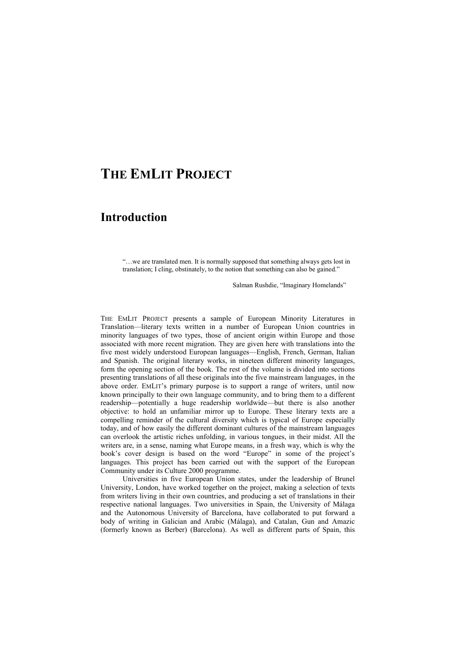## **THE EMLIT PROJECT**

## **Introduction**

"…we are translated men. It is normally supposed that something always gets lost in translation; I cling, obstinately, to the notion that something can also be gained."

Salman Rushdie, "Imaginary Homelands"

THE EMLIT PROJECT presents a sample of European Minority Literatures in Translation—literary texts written in a number of European Union countries in minority languages of two types, those of ancient origin within Europe and those associated with more recent migration. They are given here with translations into the five most widely understood European languages—English, French, German, Italian and Spanish. The original literary works, in nineteen different minority languages, form the opening section of the book. The rest of the volume is divided into sections presenting translations of all these originals into the five mainstream languages, in the above order. EMLIT's primary purpose is to support a range of writers, until now known principally to their own language community, and to bring them to a different readership—potentially a huge readership worldwide—but there is also another objective: to hold an unfamiliar mirror up to Europe. These literary texts are a compelling reminder of the cultural diversity which is typical of Europe especially today, and of how easily the different dominant cultures of the mainstream languages can overlook the artistic riches unfolding, in various tongues, in their midst. All the writers are, in a sense, naming what Europe means, in a fresh way, which is why the book's cover design is based on the word "Europe" in some of the project's languages. This project has been carried out with the support of the European Community under its Culture 2000 programme.

Universities in five European Union states, under the leadership of Brunel University, London, have worked together on the project, making a selection of texts from writers living in their own countries, and producing a set of translations in their respective national languages. Two universities in Spain, the University of Málaga and the Autonomous University of Barcelona, have collaborated to put forward a body of writing in Galician and Arabic (Málaga), and Catalan, Gun and Amazic (formerly known as Berber) (Barcelona). As well as different parts of Spain, this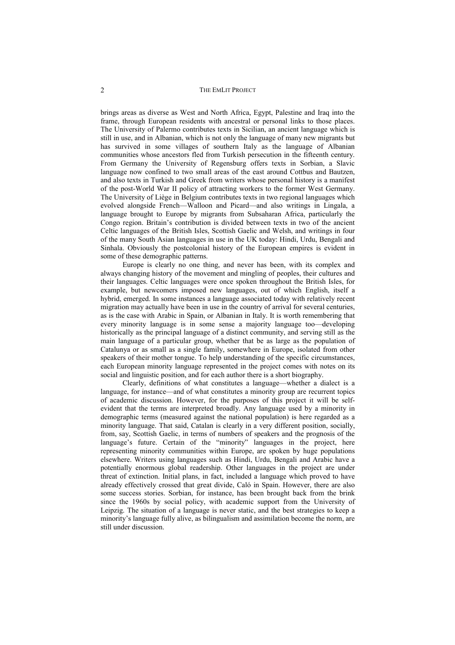brings areas as diverse as West and North Africa, Egypt, Palestine and Iraq into the frame, through European residents with ancestral or personal links to those places. The University of Palermo contributes texts in Sicilian, an ancient language which is still in use, and in Albanian, which is not only the language of many new migrants but has survived in some villages of southern Italy as the language of Albanian communities whose ancestors fled from Turkish persecution in the fifteenth century. From Germany the University of Regensburg offers texts in Sorbian, a Slavic language now confined to two small areas of the east around Cottbus and Bautzen, and also texts in Turkish and Greek from writers whose personal history is a manifest of the post-World War II policy of attracting workers to the former West Germany. The University of Liège in Belgium contributes texts in two regional languages which evolved alongside French—Walloon and Picard—and also writings in Lingala, a language brought to Europe by migrants from Subsaharan Africa, particularly the Congo region. Britain's contribution is divided between texts in two of the ancient Celtic languages of the British Isles, Scottish Gaelic and Welsh, and writings in four of the many South Asian languages in use in the UK today: Hindi, Urdu, Bengali and Sinhala. Obviously the postcolonial history of the European empires is evident in some of these demographic patterns.

Europe is clearly no one thing, and never has been, with its complex and always changing history of the movement and mingling of peoples, their cultures and their languages. Celtic languages were once spoken throughout the British Isles, for example, but newcomers imposed new languages, out of which English, itself a hybrid, emerged. In some instances a language associated today with relatively recent migration may actually have been in use in the country of arrival for several centuries, as is the case with Arabic in Spain, or Albanian in Italy. It is worth remembering that every minority language is in some sense a majority language too—developing historically as the principal language of a distinct community, and serving still as the main language of a particular group, whether that be as large as the population of Catalunya or as small as a single family, somewhere in Europe, isolated from other speakers of their mother tongue. To help understanding of the specific circumstances, each European minority language represented in the project comes with notes on its social and linguistic position, and for each author there is a short biography.

Clearly, definitions of what constitutes a language—whether a dialect is a language, for instance—and of what constitutes a minority group are recurrent topics of academic discussion. However, for the purposes of this project it will be selfevident that the terms are interpreted broadly. Any language used by a minority in demographic terms (measured against the national population) is here regarded as a minority language. That said, Catalan is clearly in a very different position, socially, from, say, Scottish Gaelic, in terms of numbers of speakers and the prognosis of the language's future. Certain of the "minority" languages in the project, here representing minority communities within Europe, are spoken by huge populations elsewhere. Writers using languages such as Hindi, Urdu, Bengali and Arabic have a potentially enormous global readership. Other languages in the project are under threat of extinction. Initial plans, in fact, included a language which proved to have already effectively crossed that great divide, Caló in Spain. However, there are also some success stories. Sorbian, for instance, has been brought back from the brink since the 1960s by social policy, with academic support from the University of Leipzig. The situation of a language is never static, and the best strategies to keep a minority's language fully alive, as bilingualism and assimilation become the norm, are still under discussion.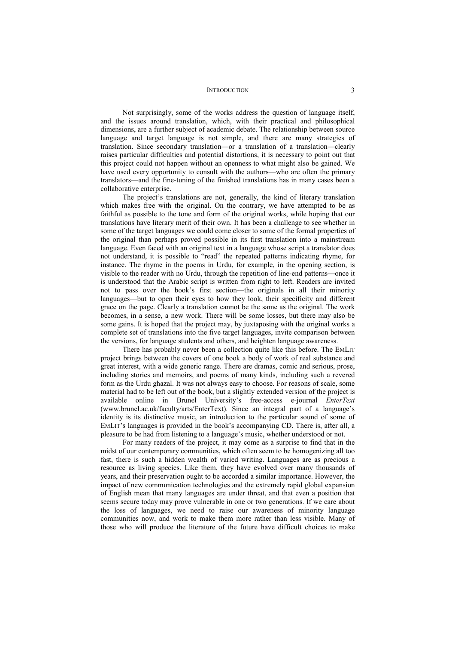## INTRODUCTION 3

Not surprisingly, some of the works address the question of language itself, and the issues around translation, which, with their practical and philosophical dimensions, are a further subject of academic debate. The relationship between source language and target language is not simple, and there are many strategies of translation. Since secondary translation—or a translation of a translation—clearly raises particular difficulties and potential distortions, it is necessary to point out that this project could not happen without an openness to what might also be gained. We have used every opportunity to consult with the authors—who are often the primary translators—and the fine-tuning of the finished translations has in many cases been a collaborative enterprise.

The project's translations are not, generally, the kind of literary translation which makes free with the original. On the contrary, we have attempted to be as faithful as possible to the tone and form of the original works, while hoping that our translations have literary merit of their own. It has been a challenge to see whether in some of the target languages we could come closer to some of the formal properties of the original than perhaps proved possible in its first translation into a mainstream language. Even faced with an original text in a language whose script a translator does not understand, it is possible to "read" the repeated patterns indicating rhyme, for instance. The rhyme in the poems in Urdu, for example, in the opening section, is visible to the reader with no Urdu, through the repetition of line-end patterns—once it is understood that the Arabic script is written from right to left. Readers are invited not to pass over the book's first section—the originals in all their minority languages—but to open their eyes to how they look, their specificity and different grace on the page. Clearly a translation cannot be the same as the original. The work becomes, in a sense, a new work. There will be some losses, but there may also be some gains. It is hoped that the project may, by juxtaposing with the original works a complete set of translations into the five target languages, invite comparison between the versions, for language students and others, and heighten language awareness.

There has probably never been a collection quite like this before. The EMLIT project brings between the covers of one book a body of work of real substance and great interest, with a wide generic range. There are dramas, comic and serious, prose, including stories and memoirs, and poems of many kinds, including such a revered form as the Urdu ghazal. It was not always easy to choose. For reasons of scale, some material had to be left out of the book, but a slightly extended version of the project is available online in Brunel University's free-access e-journal *EnterText*  (www.brunel.ac.uk/faculty/arts/EnterText). Since an integral part of a language's identity is its distinctive music, an introduction to the particular sound of some of EMLIT's languages is provided in the book's accompanying CD. There is, after all, a pleasure to be had from listening to a language's music, whether understood or not.

For many readers of the project, it may come as a surprise to find that in the midst of our contemporary communities, which often seem to be homogenizing all too fast, there is such a hidden wealth of varied writing. Languages are as precious a resource as living species. Like them, they have evolved over many thousands of years, and their preservation ought to be accorded a similar importance. However, the impact of new communication technologies and the extremely rapid global expansion of English mean that many languages are under threat, and that even a position that seems secure today may prove vulnerable in one or two generations. If we care about the loss of languages, we need to raise our awareness of minority language communities now, and work to make them more rather than less visible. Many of those who will produce the literature of the future have difficult choices to make